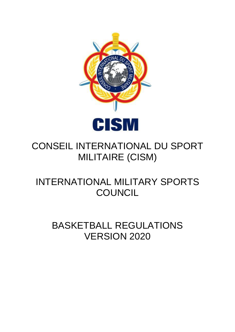

# CONSEIL INTERNATIONAL DU SPORT MILITAIRE (CISM)

# INTERNATIONAL MILITARY SPORTS **COUNCIL**

# BASKETBALL REGULATIONS VERSION 2020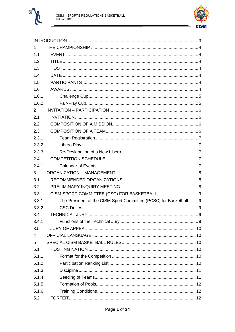



| 1     |                                                                   |  |
|-------|-------------------------------------------------------------------|--|
| 1.1   |                                                                   |  |
| 1.2   |                                                                   |  |
| 1.3   |                                                                   |  |
| 1.4   |                                                                   |  |
| 1.5   |                                                                   |  |
| 1.6   |                                                                   |  |
| 1.6.1 |                                                                   |  |
| 1.6.2 |                                                                   |  |
| 2     |                                                                   |  |
| 2.1   |                                                                   |  |
| 2.2   |                                                                   |  |
| 2.3   |                                                                   |  |
| 2.3.1 |                                                                   |  |
| 2.3.2 |                                                                   |  |
| 2.3.3 |                                                                   |  |
| 2.4   |                                                                   |  |
| 2.4.1 |                                                                   |  |
|       |                                                                   |  |
| 3     |                                                                   |  |
| 3.1   |                                                                   |  |
| 3.2   |                                                                   |  |
| 3.3   |                                                                   |  |
| 3.3.1 | The President of the CISM Sport Committee (PCSC) for Basketball 9 |  |
| 3.3.2 |                                                                   |  |
| 3.4   |                                                                   |  |
| 3.4.1 |                                                                   |  |
| 3.5   |                                                                   |  |
| 4     |                                                                   |  |
| 5     |                                                                   |  |
| 5.1   |                                                                   |  |
| 5.1.1 |                                                                   |  |
| 5.1.2 |                                                                   |  |
| 5.1.3 |                                                                   |  |
| 5.1.4 |                                                                   |  |
| 5.1.5 |                                                                   |  |
| 5.1.6 |                                                                   |  |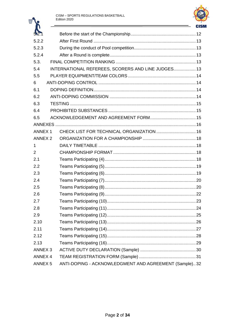$\overline{\mathbf{w}}$ 



| $\mathbf{u}$       |                                                       | <b>CIS</b> |
|--------------------|-------------------------------------------------------|------------|
| 52.                |                                                       |            |
| 5.2.2              |                                                       |            |
| 5.2.3              |                                                       |            |
| 5.2.4              |                                                       |            |
| 5.3.               |                                                       |            |
| 5.4                | INTERNATIONAL REFEREES, SCORERS AND LINE JUDGES 13    |            |
| 5.5                |                                                       |            |
| 6                  |                                                       |            |
| 6.1                |                                                       |            |
| 6.2                |                                                       |            |
| 6.3                |                                                       |            |
| 6.4                |                                                       |            |
| 6.5                |                                                       |            |
|                    |                                                       |            |
| <b>ANNEX 1</b>     |                                                       |            |
| ANNEX <sub>2</sub> |                                                       |            |
| 1                  |                                                       |            |
| $\overline{2}$     |                                                       |            |
| 2.1                |                                                       |            |
| 2.2                |                                                       |            |
| 2.3                |                                                       |            |
| 2.4                |                                                       |            |
| 2.5                |                                                       |            |
| 2.6                |                                                       |            |
| 2.7                |                                                       |            |
| 2.8                |                                                       |            |
| 2.9                |                                                       |            |
| 2.10               |                                                       |            |
| 2.11               |                                                       |            |
| 2.12               |                                                       |            |
| 2.13               |                                                       |            |
| ANNEX <sub>3</sub> |                                                       |            |
| ANNEX 4            |                                                       |            |
| <b>ANNEX 5</b>     | ANTI-DOPING - ACKNOWLEDGMENT AND AGREEMENT (Sample)32 |            |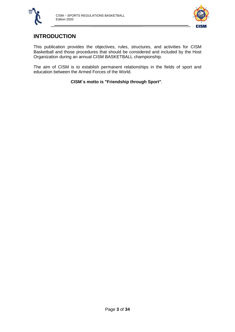



# <span id="page-3-0"></span>**INTRODUCTION**

This publication provides the objectives, rules, structures, and activities for CISM Basketball and those procedures that should be considered and included by the Host Organization during an annual CISM BASKETBALL championship.

The aim of CISM is to establish permanent relationships in the fields of sport and education between the Armed Forces of the World.

**CISM´s motto is "Friendship through Sport"**.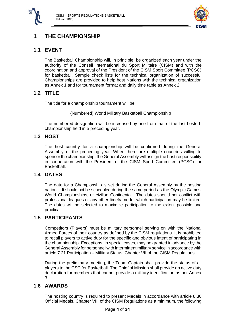



# <span id="page-4-0"></span>**1 THE CHAMPIONSHIP**

## <span id="page-4-1"></span>**1.1 EVENT**

The Basketball Championship will, in principle, be organized each year under the authority of the Conseil International du Sport Militaire (CISM) and with the coordination and approval of the President of the CISM Sport Committee (PCSC) for basketball. Sample check lists for the technical organization of successful Championships are provided to help host Nations with the technical organization as Annex 1 and for tournament format and daily time table as Annex 2.

## <span id="page-4-2"></span>**1.2 TITLE**

The title for a championship tournament will be:

(Numbered) World Military Basketball Championship

The numbered designation will be increased by one from that of the last hosted championship held in a preceding year.

## <span id="page-4-3"></span>**1.3 HOST**

The host country for a championship will be confirmed during the General Assembly of the preceding year. When there are multiple countries willing to sponsor the championship, the General Assembly will assign the host responsibility in cooperation with the President of the CISM Sport Committee (PCSC) for Basketball.

## <span id="page-4-4"></span>**1.4 DATES**

The date for a Championship is set during the General Assembly by the hosting nation. It should not be scheduled during the same period as the Olympic Games, World Championships, or civilian Continental. The dates should not conflict with professional leagues or any other timeframe for which participation may be limited. The dates will be selected to maximize participation to the extent possible and practical.

## <span id="page-4-5"></span>**1.5 PARTICIPANTS**

Competitors (Players) must be military personnel serving on with the National Armed Forces of their country as defined by the CISM regulations. It is prohibited to recall players to active duty for the specific and obvious intent of participating in the championship. Exceptions, in special cases, may be granted in advance by the General Assembly for personnel with intermittent military service in accordance with article 7.21 Participation – Military Status, Chapter VII of the CISM Regulations.

During the preliminary meeting, the Team Captain shall provide the status of all players to the CSC for Basketball. The Chief of Mission shall provide an active duty declaration for members that cannot provide a military identification as per Annex 3.

## <span id="page-4-6"></span>**1.6 AWARDS**

The hosting country is required to present Medals in accordance with article 8.30 Official Medals, Chapter VIII of the CISM Regulations as a minimum, the following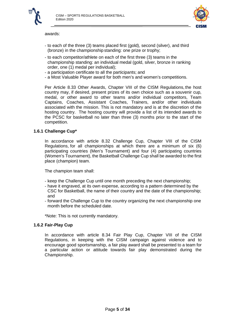

awards:



- to each of the three (3) teams placed first (gold), second (silver), and third (bronze) in the championship standing: one prize or trophy;
- to each competitor/athlete on each of the first three (3) teams in the championship standing: an individual medal (gold, silver, bronze in ranking order, one (1) medal per individual);
- a participation certificate to all the participants; and
- a Most Valuable Player award for both men's and women's competitions.

Per Article 8.33 Other Awards, Chapter VIII of the CISM Regulations, the host country may, if desired, present prizes of its own choice such as a souvenir cup, medal, or other award to other teams and/or individual competitors, Team Captains, Coaches, Assistant Coaches, Trainers, and/or other individuals associated with the mission. This is not mandatory and is at the discretion of the hosting country. The hosting country will provide a list of its intended awards to the PCSC for basketball no later than three (3) months prior to the start of the competition.

#### <span id="page-5-0"></span>**1.6.1 Challenge Cup\***

In accordance with article 8.32 Challenge Cup, Chapter VIII of the CISM Regulations, for all championships at which there are a minimum of six (6) participating countries (Men's Tournament) and four (4) participating countries (Women's Tournament), the Basketball Challenge Cup shall be awarded to the first place (champion) team.

The champion team shall:

- keep the Challenge Cup until one month preceding the next championship;
- have it engraved, at its own expense, according to a pattern determined by the CSC for Basketball, the name of their country and the date of the championship; and
- forward the Challenge Cup to the country organizing the next championship one month before the scheduled date.

\*Note: This is not currently mandatory.

#### <span id="page-5-1"></span>**1.6.2 Fair-Play Cup**

In accordance with article 8.34 Fair Play Cup, Chapter VIII of the CISM Regulations, in keeping with the CISM campaign against violence and to encourage good sportsmanship, a fair play award shall be presented to a team for a particular action or attitude towards fair play demonstrated during the Championship.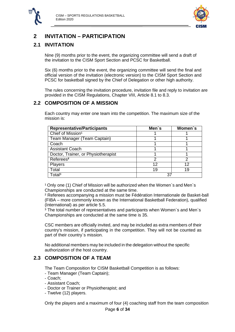



# <span id="page-6-0"></span>**2 INVITATION – PARTICIPATION**

## <span id="page-6-1"></span>**2.1 INVITATION**

Nine (9) months prior to the event, the organizing committee will send a draft of the invitation to the CISM Sport Section and PCSC for Basketball.

Six (6) months prior to the event, the organizing committee will send the final and official version of the invitation (electronic version) to the CISM Sport Section and PCSC for basketball signed by the Chief of Delegation or other high authority.

The rules concerning the invitation procedure, invitation file and reply to invitation are provided in the CISM Regulations, Chapter VIII, Article 8.1 to 8.3.

## <span id="page-6-2"></span>**2.2 COMPOSITION OF A MISSION**

Each country may enter one team into the competition. The maximum size of the mission is:

| <b>Representative/Participants</b>  | Men's | Women's |
|-------------------------------------|-------|---------|
| Chief of Mission <sup>1</sup>       |       |         |
| Team Manager (Team Captain)         |       |         |
| Coach                               |       |         |
| <b>Assistant Coach</b>              |       |         |
| Doctor, Trainer, or Physiotherapist |       |         |
| Referees <sup>2</sup>               | 2     | າ       |
| Players                             | 12    | 12      |
| Total                               | 19    | 19      |
| Total <sup>3</sup>                  |       |         |

<sup>1</sup> Only one (1) Chief of Mission will be authorized when the Women's and Men's Championships are conducted at the same time.

² Referees accompanying a mission must be Fédération Internationale de Basket-ball (FIBA – more commonly known as the International Basketball Federation), qualified (International) as per article 5.5.

³ The total number of representatives and participants when Women`s and Men`s Championships are conducted at the same time is 35.

CSC members are officially invited, and may be included as extra members of their country's mission, if participating in the competition. They will not be counted as part of their country`s mission.

No additional members may be included in the delegation without the specific authorization of the host country.

## <span id="page-6-3"></span>**2.3 COMPOSITION OF A TEAM**

The Team Composition for CISM Basketball Competition is as follows:

- Team Manager (Team Captain);
- Coach;
- Assistant Coach;
- Doctor or Trainer or Physiotherapist; and
- Twelve (12) players.

Only the players and a maximum of four (4) coaching staff from the team composition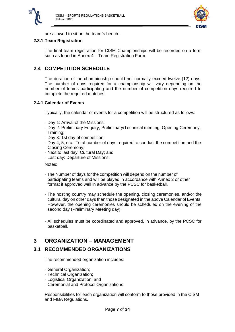



are allowed to sit on the team`s bench.

#### <span id="page-7-0"></span>**2.3.1 Team Registration**

The final team registration for CISM Championships will be recorded on a form such as found in Annex 4 – Team Registration Form.

## <span id="page-7-1"></span>**2.4 COMPETITION SCHEDULE**

The duration of the championship should not normally exceed twelve (12) days. The number of days required for a championship will vary depending on the number of teams participating and the number of competition days required to complete the required matches.

#### <span id="page-7-2"></span>**2.4.1 Calendar of Events**

Typically, the calendar of events for a competition will be structured as follows:

- Day 1: Arrival of the Missions;
- Day 2: Preliminary Enquiry, Preliminary/Technical meeting, Opening Ceremony, Training;
- Day 3: 1st day of competition;
- Day 4, 5, etc.: Total number of days required to conduct the competition and the Closing Ceremony;
- Next to last day: Cultural Day; and
- Last day: Departure of Missions.

Notes:

- The Number of days for the competition will depend on the number of participating teams and will be played in accordance with Annex 2 or other format if approved well in advance by the PCSC for basketball.
- The hosting country may schedule the opening, closing ceremonies, and/or the cultural day on other days than those designated in the above Calendar of Events. However, the opening ceremonies should be scheduled on the evening of the second day (Preliminary Meeting day).
- All schedules must be coordinated and approved, in advance, by the PCSC for basketball.

## <span id="page-7-3"></span>**3 ORGANIZATION – MANAGEMENT**

## <span id="page-7-4"></span>**3.1 RECOMMENDED ORGANIZATIONS**

The recommended organization includes:

- General Organization;
- Technical Organization;
- Logistical Organization; and
- Ceremonial and Protocol Organizations.

Responsibilities for each organization will conform to those provided in the CISM and FIBA Regulations.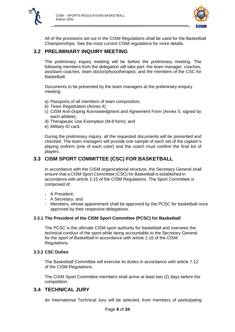



All of the provisions set out in the CISM Regulations shall be used for the Basketball Championships. See the most current CISM regulations for more details.

## <span id="page-8-0"></span>**3.2 PRELIMINARY INQUIRY MEETING**

The preliminary inquiry meeting will be before the preliminary meeting. The following members from the delegation will take part: the team manager, coaches, assistant coaches, team doctor/physiotherapist, and the members of the CSC for Basketball.

Documents to be presented by the team managers at the preliminary enquiry meeting:

- a) Passports of all members of team composition;
- b) Team Registration (Annex 4);
- c) CISM Anti-Doping Acknowledgment and Agreement Form (Annex 5, signed by each athlete);
- d) Therapeutic Use Exemption (M-8 form); and
- e) Military ID card.

During the preliminary inquiry, all the requested documents will be presented and checked. The team managers will provide one sample of each set of the captain's playing uniform (one of each color) and the coach must confirm the final list of players.

## <span id="page-8-1"></span>**3.3 CISM SPORT COMMITTEE (CSC) FOR BASKETBALL**

In accordance with the CISM organizational structure, the Secretary General shall ensure that a CISM Sport Committee (CSC) for Basketball is established in accordance with article 2.15 of the CISM Regulations. The Sport Committee is composed of:

- A President;
- A Secretary; and
- Members, whose appointment shall be approved by the PCSC for basketball once approved by their respective delegations.

#### <span id="page-8-2"></span>**3.3.1 The President of the CISM Sport Committee (PCSC) for Basketball**

The PCSC is the ultimate CISM sport authority for basketball and oversees the technical conduct of the sport while being accountable to the Secretary General for the sport of Basketball in accordance with article 2.16 of the CISM Regulations.

#### <span id="page-8-3"></span>**3.3.2 CSC Duties**

The Basketball Committee will exercise its duties in accordance with article 7.12 of the CISM Regulations.

The CISM Sport Committee members shall arrive at least two (2) days before the competition.

## <span id="page-8-4"></span>**3.4 TECHNICAL JURY**

An International Technical Jury will be selected, from members of participating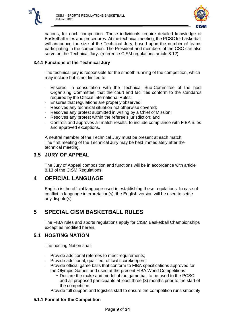



nations, for each competition. These individuals require detailed knowledge of Basketball rules and procedures. At the technical meeting, the PCSC for basketball will announce the size of the Technical Jury, based upon the number of teams participating in the competition. The President and members of the CSC can also serve on the Technical Jury. (reference CISM regulations article 8.12)

#### <span id="page-9-0"></span>**3.4.1 Functions of the Technical Jury**

The technical jury is responsible for the smooth running of the competition, which may include but is not limited to:

- Ensures, in consultation with the Technical Sub-Committee of the host Organizing Committee, that the court and facilities conform to the standards required by the Official International Rules;
- Ensures that regulations are properly observed;
- Resolves any technical situation not otherwise covered;
- Resolves any protest submitted in writing by a Chief of Mission;
- Resolves any protest within the referee's jurisdiction; and
- Controls and approves all match results, to include compliance with FIBA rules and approved exceptions.

A neutral member of the Technical Jury must be present at each match. The first meeting of the Technical Jury may be held immediately after the technical meeting.

## <span id="page-9-1"></span>**3.5 JURY OF APPEAL**

The Jury of Appeal composition and functions will be in accordance with article 8.13 of the CISM Regulations.

## <span id="page-9-2"></span>**4 OFFICIAL LANGUAGE**

English is the official language used in establishing these regulations. In case of conflict in language interpretation(s), the English version will be used to settle any dispute(s).

## <span id="page-9-3"></span>**5 SPECIAL CISM BASKETBALL RULES**

The FIBA rules and sports regulations apply for CISM Basketball Championships except as modified herein.

#### <span id="page-9-4"></span>**5.1 HOSTING NATION**

The hosting Nation shall:

- Provide additional referees to meet requirements;
- Provide additional, qualified, official scorekeepers;
- Provide official game balls that conform to FIBA specifications approved for the Olympic Games and used at the present FIBA World Competitions
	- Declare the make and model of the game ball to be used to the PCSC and all proposed participants at least three (3) months prior to the start of the competition.
- Provide full support and logistics staff to ensure the competition runs smoothly

#### <span id="page-9-5"></span>**5.1.1 Format for the Competition**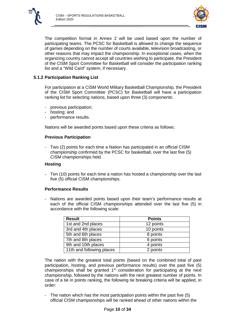



The competition format in Annex 2 will be used based upon the number of participating teams. The PCSC for Basketball is allowed to change the sequence of games depending on the number of courts available, television broadcasting, or other reasons that may impact the championship. In exceptional cases, when the organizing country cannot accept all countries wishing to participate, the President of the CISM Sport Committee for Basketball will consider the participation ranking list and a "Wild Card" system, if necessary.

#### <span id="page-10-0"></span>**5.1.2 Participation Ranking List**

For participation at a CISM World Military Basketball Championship, the President of the CISM Sport Committee (PCSC) for Basketball will have a participation ranking list for selecting nations, based upon three (3) components:

- previous participation;
- hosting; and
- performance results.

Nations will be awarded points based upon these criteria as follows:

#### **Previous Participation**

- Two (2) points for each time a Nation has participated in an official CISM championship confirmed by the PCSC for basketball, over the last five (5) CISM championships held.

#### **Hosting**

- Ten (10) points for each time a nation has hosted a championship over the last five (5) official CISM championships.

#### **Performance Results**

- Nations are awarded points based upon their team's performance results at each of the official CISM championships attended over the last five (5) in accordance with the following scale:

| <b>Result</b>             | <b>Points</b> |
|---------------------------|---------------|
| 1st and 2nd places        | 12 points     |
| 3rd and 4th places        | 10 points     |
| 5th and 6th places        | 8 points      |
| 7th and 8th places        | 6 points      |
| 9th and 10th places       | 4 points      |
| 11th and following places | 2 points      |

The nation with the greatest total points (based on the combined total of past participation, hosting, and previous performance results) over the past five (5) championships shall be granted  $1<sup>st</sup>$  consideration for participating at the next championship, followed by the nations with the next greatest number of points. In case of a tie in points ranking, the following tie breaking criteria will be applied, in order:

- The nation which has the most participation points within the past five (5) official CISM championships will be ranked ahead of other nations within the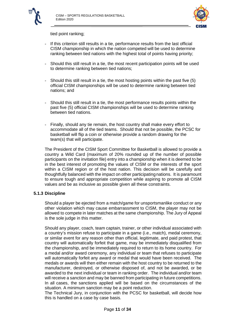



tied point ranking;

- If this criterion still results in a tie, performance results from the last official CISM championship in which the nation competed will be used to determine ranking between tied nations with the highest total of points having priority;
- Should this still result in a tie, the most recent participation points will be used to determine ranking between tied nations;
- Should this still result in a tie, the most hosting points within the past five (5) official CISM championships will be used to determine ranking between tied nations; and
- Should this still result in a tie, the most performance results points within the past five (5) official CISM championships will be used to determine ranking between tied nations.
- Finally, should any tie remain, the host country shall make every effort to accommodate all of the tied teams. Should that not be possible, the PCSC for basketball will flip a coin or otherwise provide a random drawing for the team(s) that will participate.

The President of the CISM Sport Committee for Basketball is allowed to provide a country a Wild Card (maximum of 20% rounded up of the number of possible participants on the invitation file) entry into a championship when it is deemed to be in the best interest of promoting the values of CISM or the interests of the sport within a CISM region or of the host nation. This decision will be carefully and thoughtfully balanced with the impact on other participatingnations. It is paramount to ensure tough and appropriate competition while aspiring to promote all CISM values and be as inclusive as possible given all these constraints.

#### <span id="page-11-0"></span>**5.1.3 Discipline**

Should a player be ejected from a match/game for unsportsmanlike conduct or any other violation which may cause embarrassment to CISM, the player may not be allowed to compete in later matches at the same championship. The Jury of Appeal is the sole judge in this matter.

Should any player, coach, team captain, trainer, or other individual associated with a country's mission refuse to participate in a game (i.e., match), medal ceremony, or similar event for any reason other than official, legitimate, and paid protest, that country will automatically forfeit that game, may be immediately disqualified from the championship, and be immediately required to return to its home country. For a medal and/or award ceremony, any individual or team that refuses to participate will automatically forfeit any award or medal that would have been received. The medals or awards will then either remain with the host country to be returned to the manufacturer, destroyed, or otherwise disposed of, and not be awarded, or be awarded to the next individual or team in ranking order. The individual and/or team will receive a sanction and may be banned from participating in future competitions. In all cases, the sanctions applied will be based on the circumstances of the situation. A minimum sanction may be a point reduction.

The Technical Jury, in conjunction with the PCSC for basketball, will decide how this is handled on a case by case basis.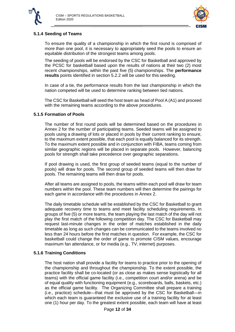



#### <span id="page-12-0"></span>**5.1.4 Seeding of Teams**

To ensure the quality of a championship in which the first round is comprised of more than one pool, it is necessary to appropriately seed the pools to ensure an equitable distribution of the strongest teams among pools.

The seeding of pools will be endorsed by the CSC for Basketball and approved by the PCSC for basketball based upon the results of nations at their two (2) most recent championships, within the past five (5) championships. The **performance results** points identified in section 5.2.2 will be used for this seeding.

In case of a tie, the performance results from the last championship in which the nation competed will be used to determine ranking between tied nations.

The CSC for Basketball will seed the host team as head of Pool A (A1) and proceed with the remaining teams according to the above procedures.

#### <span id="page-12-1"></span>**5.1.5 Formation of Pools**

The number of first round pools will be determined based on the procedures in Annex 2 for the number of participating teams. Seeded teams will be assigned to pools using a drawing of lots or placed in pools by their current ranking to ensure, to the maximum extent possible, that each pool is equally balanced for its strength. To the maximum extent possible and in conjunction with FIBA, teams coming from similar geographic regions will be placed in separate pools. However, balancing pools for strength shall take precedence over geographic separations.

If pool drawing is used, the first group of seeded teams (equal to the number of pools) will draw for pools. The second group of seeded teams will then draw for pools. The remaining teams will then draw for pools.

After all teams are assigned to pools, the teams within each pool will draw for team numbers within the pool. These team numbers will then determine the pairings for each game in accordance with the procedures in Annex 2.

The daily timetable schedule will be established by the CSC for Basketball to grant adequate recovery time to teams and meet facility scheduling requirements. In groups of five (5) or more teams, the team playing the last match of the day will not play the first match of the following competition day. The CSC for Basketball may request last-minute changes in the order of matches established in the daily timetable as long as such changes can be communicated to the teams involved no less than 24 hours before the first matches in question. For example, the CSC for basketball could change the order of game to promote CISM values, encourage maximum fan attendance, or for media (e.g., TV, internet) purposes.

#### <span id="page-12-2"></span>**5.1.6 Training Conditions**

The host nation shall provide a facility for teams to practice prior to the opening of the championship and throughout the championship. To the extent possible, the practice facility shall be co-located (or as close as makes sense logistically for all teams) with the official game facility (i.e., competition court and/or arena) and be of equal quality with functioning equipment (e.g., scoreboards, balls, baskets, etc.) as the official game facility. The Organizing Committee shall prepare a training (i.e., practice) schedule—that must be approved by the CSC for Basketball—in which each team is guaranteed the exclusive use of a training facility for at least one (1) hour per day. To the greatest extent possible, each team will have at least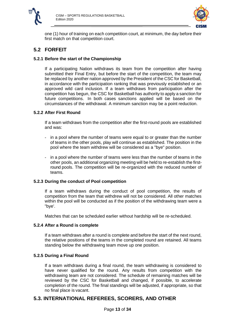

<span id="page-13-2"></span>

one (1) hour of training on each competition court, at minimum, the day before their first match on that competition court.

## <span id="page-13-0"></span>**5.2 FORFEIT**

#### <span id="page-13-1"></span>**5.2.1 Before the start of the Championship**

If a participating Nation withdraws its team from the competition after having submitted their Final Entry, but before the start of the competition, the team may be replaced by another nation approved by the President of the CSC for Basketball, in accordance with the participation ranking that was previously established or an approved wild card inclusion. If a team withdraws from participation after the competition has begun, the CSC for Basketball has authority to apply a sanction for future competitions. In both cases sanctions applied will be based on the circumstances of the withdrawal. A minimum sanction may be a point reduction.

#### **5.2.2 After First Round**

If a team withdraws from the competition after the first-round pools are established and was:

- in a pool where the number of teams were equal to or greater than the number of teams in the other pools, play will continue as established. The position in the pool where the team withdrew will be considered as a "bye" position.
- in a pool where the number of teams were less than the number of teams in the other pools, an additional organizing meeting will be held to re-establish the firstround pools. The competition will be re-organized with the reduced number of teams.

#### <span id="page-13-3"></span>**5.2.3 During the conduct of Pool competition**

If a team withdraws during the conduct of pool competition, the results of competition from the team that withdrew will not be considered. All other matches within the pool will be conducted as if the position of the withdrawing team were a "bye'.

Matches that can be scheduled earlier without hardship will be re-scheduled.

#### <span id="page-13-4"></span>**5.2.4 After a Round is complete**

If a team withdraws after a round is complete and before the start of the next round, the relative positions of the teams in the completed round are retained. All teams standing below the withdrawing team move up one position.

#### **5.2.5 During a Final Round**

If a team withdraws during a final round, the team withdrawing is considered to have never qualified for the round. Any results from competition with the withdrawing team are not considered. The schedule of remaining matches will be reviewed by the CSC for Basketball and changed, if possible, to accelerate completion of the round. The final standings will be adjusted, if appropriate, so that no final place is vacant.

## <span id="page-13-6"></span><span id="page-13-5"></span>**5.3. INTERNATIONAL REFEREES, SCORERS, AND OTHER**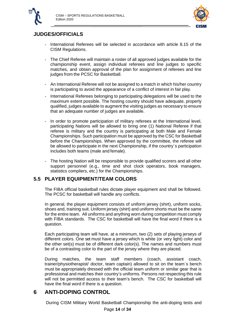



## **JUDGES/OFFICIALS**

- International Referees will be selected in accordance with article 8.15 of the CISM Regulations.
- The Chief Referee will maintain a roster of all approved judges available for the championship event, assign individual referees and line judges to specific matches, and obtain approval of the plan for assignment of referees and line judges from the PCSC for Basketball.
- An International Referee will not be assigned to a match in which his/her country is participating to avoid the appearance of a conflict of interest in fair play.
- International Referees belonging to participating delegations will be used to the maximum extent possible. The hosting country should have adequate, properly qualified, judges available to augment the visiting judges as necessary to ensure that an adequate number of judges are available.
- In order to promote participation of military referees at the International level, participating Nations will be allowed to bring one (1) National Referee if that referee is military and the country is participating at both Male and Female Championships. Such participation must be approved by the CSC for Basketball before the Championships. When approved by the committee, the referee will be allowed to participate in the next Championship, if the country`s participation includes both teams (male and female).
- The hosting Nation will be responsible to provide qualified scorers and all other support personnel (e.g., time and shot clock operators, book managers, statistics compliers, etc.) for the Championships.

## <span id="page-14-0"></span>**5.5 PLAYER EQUIPMENT/TEAM COLORS**

The FIBA official basketball rules dictate player equipment and shall be followed. The PCSC for basketball will handle any conflicts.

In general, the player equipment consists of uniform jersey (shirt), uniform socks, shoes and, training suit. Uniform jersey (shirt) and uniform shorts must be the same for the entire team. All uniforms and anything worn during competition must comply with FIBA standards. The CSC for basketball will have the final word if there is a question.

Each participating team will have, at a minimum, two (2) sets of playing jerseys of different colors. One set must have a jersey which is white (or very light) color and the other set(s) must be of different dark color(s). The names and numbers must be of a contrasting color to the part of the jersey where they are placed.

During matches, the team staff members (coach, assistant coach, trainer/physiotherapist/ doctor, team captain) allowed to sit on the team`s bench must be appropriately dressed with the official team uniform or similar gear that is professional and matches their country's uniforms. Persons not respecting this rule will not be permitted access to their team's bench. The CSC for basketball will have the final word if there is a question.

# <span id="page-14-1"></span>**6 ANTI-DOPING CONTROL**

During CISM Military World Basketball Championship the anti-doping tests and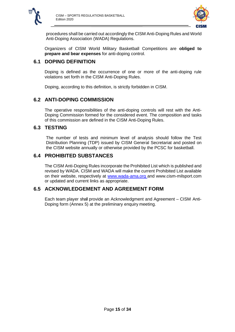



procedures shall be carried out accordingly the CISM Anti-Doping Rules and World Anti-Doping Association (WADA) Regulations.

Organizers of CISM World Military Basketball Competitions are **obliged to prepare and bear expenses** for anti-doping control.

## <span id="page-15-0"></span>**6.1 DOPING DEFINITION**

Doping is defined as the occurrence of one or more of the anti-doping rule violations set forth in the CISM Anti-Doping Rules.

Doping, according to this definition, is strictly forbidden in CISM.

## <span id="page-15-1"></span>**6.2 ANTI-DOPING COMMISSION**

The operative responsibilities of the anti-doping controls will rest with the Anti-Doping Commission formed for the considered event. The composition and tasks of this commission are defined in the CISM Anti-Doping Rules.

## <span id="page-15-3"></span><span id="page-15-2"></span>**6.3 TESTING**

The number of tests and minimum level of analysis should follow the Test Distribution Planning (TDP) issued by CISM General Secretariat and posted on the CISM website annually or otherwise provided by the PCSC for basketball.

## **6.4 PROHIBITED SUBSTANCES**

The CISM Anti-Doping Rules incorporate the Prohibited List which is published and revised by WADA. CISM and WADA will make the current Prohibited List available on their website, respectively at www.wada-ama.org and www.cism-milsport.com or updated and current links as appropriate.

## <span id="page-15-4"></span>**6.5 ACKNOWLEDGEMENT AND AGREEMENT FORM**

Each team player shall provide an Acknowledgment and Agreement – CISM Anti-Doping form (Annex 5) at the preliminary enquiry meeting.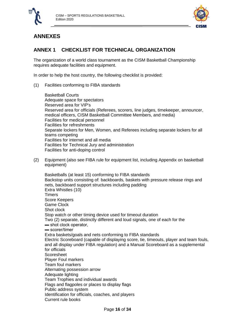



# <span id="page-16-0"></span>**ANNEXES**

# <span id="page-16-1"></span>**ANNEX 1 CHECKLIST FOR TECHNICAL ORGANIZATION**

The organization of a world class tournament as the CISM Basketball Championship requires adequate facilities and equipment.

In order to help the host country, the following checklist is provided:

(1) Facilities conforming to FIBA standards

Basketball Courts Adequate space for spectators Reserved area for VIP's Reserved area for officials (Referees, scorers, line judges, timekeeper, announcer, medical officers, CISM Basketball Committee Members, and media) Facilities for medical personnel Facilities for refreshments Separate lockers for Men, Women, and Referees including separate lockers for all teams competing Facilities for internet and all media Facilities for Technical Jury and administration Facilities for anti-doping control

(2) Equipment (also see FIBA rule for equipment list, including Appendix on basketball equipment)

Basketballs (at least 15) conforming to FIBA standards Backstop units consisting of: backboards, baskets with pressure release rings and nets, backboard support structures including padding Extra Whistles (10) **Timers** Score Keepers Game Clock Shot clock Stop watch or other timing device used for timeout duration Two (2) separate, distinctly different and loud signals, one of each for the ▬ shot clock operator, ▬ scorer/timer Extra baskets/goals and nets conforming to FIBA standards Electric Scoreboard (capable of displaying score, tie, timeouts, player and team fouls, and all display under FIBA regulation) and a Manual Scoreboard as a supplemental for officials **Scoresheet** Player Foul markers Team foul markers Alternating possession arrow Adequate lighting Team Trophies and individual awards Flags and flagpoles or places to display flags Public address system Identification for officials, coaches, and players Current rule books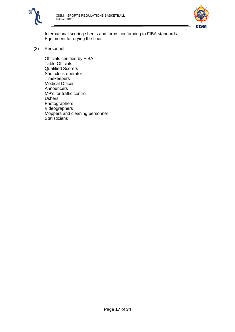



International scoring sheets and forms conforming to FIBA standards Equipment for drying the floor

(3) Personnel

Officials certified by FIBA Table Officials Qualified Scorers Shot clock operator **Timekeepers** Medical Officer Announcers MP's for traffic control Ushers Photographers Videographers Moppers and cleaning personnel **Statisticians**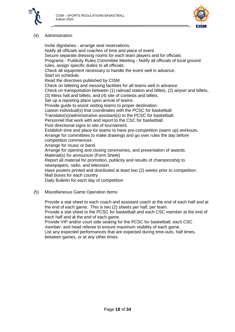



#### (4) Administration

Invite dignitaries - arrange seat reservations. Notify all officials and coaches of time and place of event. Secure separate dressing rooms for each team players and for officials. Programs - Publicity Rules Committee Meeting - Notify all officials of local ground rules, assign specific duties to all officials. Check all equipment necessary to handle the event well in advance. Start on schedule. Read the directives published by CISM. Check on billeting and messing facilities for all teams well in advance. Check on transportation between (1) railroad station and billets, (2) airport and billets, (3) Mess hall and billets, and (4) site of contests and billets. Set up a reporting place upon arrival of teams. Provide guide to assist visiting teams to proper destination. Liaison individual(s) that coordinates with the PCSC for basketball. Translator(s)/administrative assistant(s) to the PCSC for basketball. Personnel that work with and report to the CSC for basketball. Post directional signs to site of tournament. Establish time and place for teams to have pre-competition (warm up) workouts. Arrange for committees to make drawings and go over rules the day before competition commences. Arrange for music or band. Arrange for opening and closing ceremonies, and presentation of awards. Material(s) for announcer (Form Sheet) Report all material for promotion, publicity and results of championship to newspapers, radio, and television. Have posters printed and distributed at least two (2) weeks prior to competition. Mail boxes for each country Daily Bulletin for each day of competition

(5) Miscellaneous Game Operation Items

Provide a stat sheet to each coach and assistant coach at the end of each half and at the end of each game. This is two (2) sheets per half, per team. Provide a stat sheet to the PCSC for basketball and each CSC member at the end of

each half and at the end of each game.

Provide VIP and/or court side seating for the PCSC for basketball, each CSC member, and head referee to ensure maximum visibility of each game.

List any expected performances that are expected during time-outs, half times, between games, or at any other times.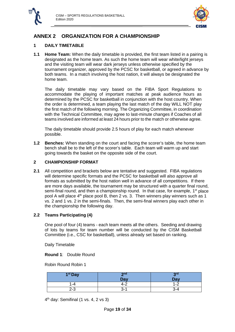



# <span id="page-19-0"></span>**ANNEX 2 ORGANIZATION FOR A CHAMPIONSHIP**

## <span id="page-19-1"></span>**1 DAILY TIMETABLE**

**1.1 Home Team:** When the daily timetable is provided, the first team listed in a pairing is designated as the home team. As such the home team will wear white/light jerseys and the visiting team will wear dark jerseys unless otherwise specified by the tournament organizer, approved by the PCSC for basketball, or agreed in advance by both teams. In a match involving the host nation, it will always be designated the home team.

The daily timetable may vary based on the FIBA Sport Regulations to accommodate the playing of important matches at peak audience hours as determined by the PCSC for basketball in conjunction with the host country. When the order is determined, a team playing the last match of the day WILL NOT play the first match of the following morning. The Organizing Committee, in coordination with the Technical Committee, may agree to last-minute changes if Coaches of all teams involved are informed at least 24 hours prior to the match or otherwise agree.

The daily timetable should provide 2.5 hours of play for each match whenever possible.

**1.2 Benches:** When standing on the court and facing the scorer's table, the home team bench shall be to the left of the scorer's table. Each team will warm up and start going towards the basket on the opposite side of the court.

#### <span id="page-19-2"></span>**2 CHAMPIONSHIP FORMAT**

**2.1** All competition and brackets below are tentative and suggested. FIBA regulations will determine specific formats and the PCSC for basketball will also approve all formats as submitted by the host nation well in advance of all competitions. If there are more days available, the tournament may be structured with a quarter final round, semi-final round, and then a championship round. In that case, for example,  $1<sup>st</sup>$  place pool A will place  $4<sup>th</sup>$  place pool B, then 2 vs. 3. Then winners play winners such as 1 vs. 2 and 1 vs. 2 in the semi-finals. Then, the semi-final winners play each other in the championship the following day.

#### <span id="page-19-3"></span>**2.2 Teams Participating (4)**

One pool of four (4) teams - each team meets all the others. Seeding and drawing of lots by teams for team number will be conducted by the CISM Basketball Committee (i.e., CSC for basketball), unless already set based on ranking.

Daily Timetable

**Round 1**: Double Round

Robin Round Robin 1

| 1 <sup>st</sup> Day | 2na     | 2rd<br>◡                      |
|---------------------|---------|-------------------------------|
|                     | Day     | Day                           |
| l -4                | ∸–      | ີ<br>$\overline{\phantom{a}}$ |
| $2 - 3$             | ╮-<br>ັ | -4-ۍ                          |

 $4<sup>th</sup>$  day: Semifinal (1 vs. 4, 2 vs 3)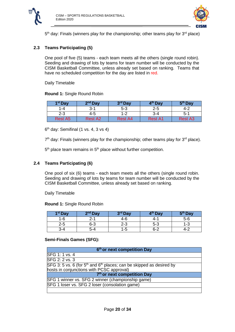

<span id="page-20-0"></span>

 $5<sup>th</sup>$  day: Finals (winners play for the championship; other teams play for  $3<sup>rd</sup>$  place)

## **2.3 Teams Participating (5)**

One pool of five (5) teams - each team meets all the others (single round robin). Seeding and drawing of lots by teams for team number will be conducted by the CISM Basketball Committee, unless already set based on ranking. Teams that have no scheduled competition for the day are listed in red.

Daily Timetable

**Round 1:** Single Round Robin

| 1 <sup>st</sup> Day | $2nd$ Day | 3 <sup>rd</sup> Day | 4 <sup>th</sup> Day | 5 <sup>th</sup> Day |
|---------------------|-----------|---------------------|---------------------|---------------------|
| 1-4                 | 3-1       | $5 - 3$             | 2-5                 | 4-2                 |
| $2 - 3$             | 4-5       | $1 - 2$             | $3-4$               | $5-1$               |
| <b>Rest A5</b>      | Rest A2   | Rest A4             | Rest A1             | <b>Rest A3</b>      |

 $6<sup>th</sup>$  day: Semifinal (1 vs. 4, 3 vs 4)

 $7<sup>th</sup>$  day: Finals (winners play for the championship; other teams play for  $3<sup>rd</sup>$  place).

<span id="page-20-1"></span>5<sup>th</sup> place team remains in 5<sup>th</sup> place without further competition.

#### **2.4 Teams Participating (6)**

One pool of six (6) teams - each team meets all the others (single round robin. Seeding and drawing of lots by teams for team number will be conducted by the CISM Basketball Committee, unless already set based on ranking.

Daily Timetable

**Round 1:** Single Round Robin

| 1 <sup>st</sup> Day | $2nd$ Day | 3 <sup>rd</sup> Day | 4 <sup>th</sup> Day | 5 <sup>th</sup> Day |
|---------------------|-----------|---------------------|---------------------|---------------------|
| $-6$                | .<br>.    | 4-6                 | 4-                  | $5-6$               |
| $2 - 5$             | 6-3       | ົ<br>د-∠            | $5 - 3$             | - ٿ                 |
| 3-4                 | 5-4       | -5                  | <u>ົດ</u><br>-נ     | 4-                  |

#### **Semi-Finals Games (SFG):**

| 6 <sup>th</sup> or next competition Day                                  |  |  |  |
|--------------------------------------------------------------------------|--|--|--|
| SFG 1: 1 vs. 4                                                           |  |  |  |
| SFG 2: 2 vs. 3                                                           |  |  |  |
| SFG 3: 5 vs. 6 (for $5th$ and $6th$ places; can be skipped as desired by |  |  |  |
| hosts in conjunctions with PCSC approval)                                |  |  |  |
| 7 <sup>th</sup> or next competition Day                                  |  |  |  |
| SFG 1 winner vs. SFG 2 winner (championship game)                        |  |  |  |
| SFG 1 loser vs. SFG 2 loser (consolation game)                           |  |  |  |
|                                                                          |  |  |  |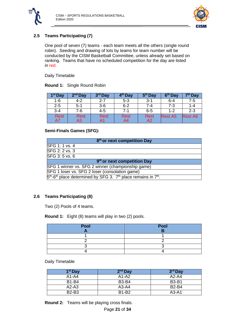



## <span id="page-21-0"></span>**2.5 Teams Participating (7)**

One pool of seven (7) teams - each team meets all the others (single round robin). Seeding and drawing of lots by teams for team number will be conducted by the CISM Basketball Committee, unless already set based on ranking. Teams that have no scheduled competition for the day are listed in red.

Daily Timetable

**Round 1:** Single Round Robin

| 1 <sup>st</sup> Day | $2nd$ Day   | 3 <sup>rd</sup> Day | 4 <sup>th</sup> Day | 5 <sup>th</sup> Day | 6 <sup>th</sup> Day | 7 <sup>th</sup> Day |
|---------------------|-------------|---------------------|---------------------|---------------------|---------------------|---------------------|
| 1-6                 | $4 - 2$     | $2 - 7$             | $5 - 3$             | $3 - 1$             | 6-4                 | 7-5                 |
| $2 - 5$             | $5-1$       | 3-6                 | $6 - 2$             | 7-4                 | 7-3                 | 1-4                 |
| $3 - 4$             | 7-6         | $4 - 5$             | 7-1                 | $6 - 5$             | $1 - 2$             | $2 - 3$             |
| <b>Rest</b>         | <b>Rest</b> | Rest                | <b>Rest</b>         | <b>Rest</b>         | <b>Rest A5</b>      | <b>Rest A6</b>      |
| A7                  | A3          | Α1                  | A4                  | A2                  |                     |                     |

#### **Semi-Finals Games (SFG):**

| 8 <sup>th</sup> or next competition Day                                                              |  |  |  |  |
|------------------------------------------------------------------------------------------------------|--|--|--|--|
| SFG 1: 1 vs. 4                                                                                       |  |  |  |  |
| SFG 2: 2 vs. 3                                                                                       |  |  |  |  |
| SFG 3: 5 vs. 6                                                                                       |  |  |  |  |
| 9 <sup>th</sup> or next competition Day                                                              |  |  |  |  |
| SFG 1 winner vs. SFG 2 winner (championship game)                                                    |  |  |  |  |
| SFG 1 loser vs. SFG 2 loser (consolation game)                                                       |  |  |  |  |
| $5th$ -6 <sup>th</sup> place determined by SFG 3. 7 <sup>th</sup> place remains in 7 <sup>th</sup> . |  |  |  |  |

#### <span id="page-21-1"></span>**2.6 Teams Participating (8)**

Two (2) Pools of 4 teams.

**Round 1:** Eight (8) teams will play in two (2) pools.

| Pool | Pool |
|------|------|
|      |      |
|      |      |
|      |      |
|      |      |

Daily Timetable

| 1 <sup>st</sup> Day | $2nd$ Day    | 3 <sup>rd</sup> Day |
|---------------------|--------------|---------------------|
| $A1-A4$             | $A1-A2$      | $A2-A4$             |
| <b>B1-B4</b>        | B3-B4        | <b>B3-B1</b>        |
| $A2-A3$             | $A3-A4$      | <b>B2-B4</b>        |
| <b>B2-B3</b>        | <b>B1-B2</b> | $A3-A1$             |

**Round 2:** Teams will be playing cross finals.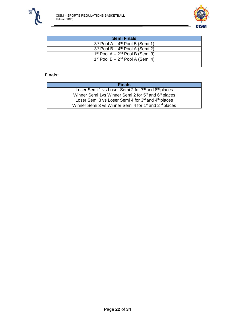



 $\overline{\phantom{a}}$ 

| <b>Semi Finals</b>                             |
|------------------------------------------------|
| $3rd$ Pool A – 4 <sup>th</sup> Pool B (Semi 1) |
| $3rd$ Pool B – 4 <sup>th</sup> Pool A (Semi 2) |
| $1st$ Pool A – $2nd$ Pool B (Semi 3)           |
| $1st$ Pool B – $2nd$ Pool A (Semi 4)           |
|                                                |

| <b>Finals</b>                                                                 |
|-------------------------------------------------------------------------------|
| Loser Semi 1 vs Loser Semi 2 for 7 <sup>th</sup> and 8 <sup>th</sup> places   |
| Winner Semi 1vs Winner Semi 2 for 5 <sup>th</sup> and 6 <sup>th</sup> places  |
| Loser Semi 3 vs Loser Semi 4 for 3rd and 4th places                           |
| Winner Semi 3 vs Winner Semi 4 for 1 <sup>st</sup> and 2 <sup>nd</sup> places |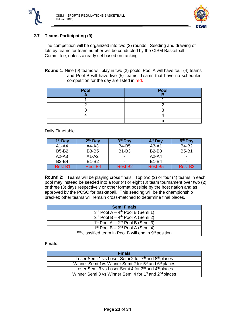



## <span id="page-23-0"></span>**2.7 Teams Participating (9)**

The competition will be organized into two (2) rounds. Seeding and drawing of lots by teams for team number will be conducted by the CISM Basketball Committee, unless already set based on ranking.

**Round 1:** Nine (9) teams will play in two (2) pools. Pool A will have four (4) teams and Pool B will have five (5) teams. Teams that have no scheduled competition for the day are listed in red.

| Pool | Pool |
|------|------|
|      |      |
|      |      |
|      |      |
|      |      |
|      |      |
|      |      |

#### Daily Timetable

| 1 <sup>st</sup> Day | $2nd$ Day      | 3 <sup>rd</sup> Day | 4 <sup>th</sup> Day | 5 <sup>th</sup> Day |
|---------------------|----------------|---------------------|---------------------|---------------------|
| $A1-A4$             | $A4-A3$        | <b>B4-B5</b>        | A3-A1               | <b>B4-B2</b>        |
| <b>B5-B2</b>        | <b>B3-B5</b>   | <b>B1-B3</b>        | <b>B2-B3</b>        | <b>B5-B1</b>        |
| $A2-A3$             | $A1-A2$        | -                   | $A2-A4$             | ۰                   |
| <b>B3-B4</b>        | <b>B1-B2</b>   | -                   | <b>B1-B4</b>        |                     |
| <b>Rest B1</b>      | <b>Rest B4</b> | <b>Rest B2</b>      | <b>Rest B5</b>      | <b>Rest B3</b>      |

**Round 2:** Teams will be playing cross finals. Top two (2) or four (4) teams in each pool may instead be seeded into a four (4) or eight (8) team tournament over two (2) or three (3) days respectively or other format possible by the host nation and as approved by the PCSC for basketball. This seeding will be the championship bracket; other teams will remain cross-matched to determine final places.

| <b>Semi Finals</b>                                         |
|------------------------------------------------------------|
| $3^{rd}$ Pool A – $4^{th}$ Pool B (Semi 1)                 |
| $3rd$ Pool B – 4 <sup>th</sup> Pool A (Semi 2)             |
| $1st$ Pool A – $2nd$ Pool B (Semi 3)                       |
| $1st$ Pool B – $2nd$ Pool A (Semi 4)                       |
| $5th$ classified team in Pool B will end in $9th$ position |

| <b>Finals</b>                                                                 |
|-------------------------------------------------------------------------------|
| Loser Semi 1 vs Loser Semi 2 for 7 <sup>th</sup> and 8 <sup>th</sup> places   |
| Winner Semi 1vs Winner Semi 2 for 5 <sup>th</sup> and 6 <sup>th</sup> places  |
| Loser Semi 3 vs Loser Semi 4 for 3rd and 4th places                           |
| Winner Semi 3 vs Winner Semi 4 for 1 <sup>st</sup> and 2 <sup>nd</sup> places |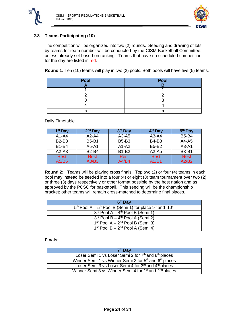



## <span id="page-24-0"></span>**2.8 Teams Participating (10)**

The competition will be organized into two (2) rounds. Seeding and drawing of lots by teams for team number will be conducted by the CISM Basketball Committee, unless already set based on ranking. Teams that have no scheduled competition for the day are listed in red.

**Round 1:** Ten (10) teams will play in two (2) pools. Both pools will have five (5) teams.

| Pool | Pool |
|------|------|
|      |      |
|      |      |
|      |      |
|      |      |
|      |      |
|      |      |

Daily Timetable

| 1 <sup>st</sup> Day | $2nd$ Day    | 3 <sup>rd</sup> Day | 4 <sup>th</sup> Day | 5 <sup>th</sup> Day |
|---------------------|--------------|---------------------|---------------------|---------------------|
| $A1-A4$             | $A2-A4$      | $A3-A5$             | $A3-A4$             | <b>B5-B4</b>        |
| <b>B2-B3</b>        | <b>B5-B1</b> | <b>B5-B3</b>        | <b>B4-B3</b>        | $A4 - A5$           |
| <b>B1-B4</b>        | A5-A1        | $A1-A2$             | <b>B5-B2</b>        | $A3-A1$             |
| $A2-A3$             | <b>B2-B4</b> | <b>B1-B2</b>        | $A2-A5$             | <b>B3-B1</b>        |
| <b>Rest</b>         | <b>Rest</b>  | <b>Rest</b>         | <b>Rest</b>         | <b>Rest</b>         |
| A5/B5               | A3/B3        | A4/B4               | A1/B1               | A2/B2               |

**Round 2:** Teams will be playing cross finals. Top two (2) or four (4) teams in each pool may instead be seeded into a four (4) or eight (8) team tournament over two (2) or three (3) days respectively or other format possible by the host nation and as approved by the PCSC for basketball. This seeding will be the championship bracket; other teams will remain cross-matched to determine final places.

| 6 <sup>th</sup> Day                                                                                             |
|-----------------------------------------------------------------------------------------------------------------|
| $\overline{5^{th}}$ Pool A – $\overline{5^{th}}$ Pool B (Semi 1) for place 9 <sup>th</sup> and 10 <sup>th</sup> |
| $3^{rd}$ Pool A – $4^{th}$ Pool B (Semi 1)                                                                      |
| $3^{rd}$ Pool B – 4 <sup>th</sup> Pool A (Semi 2)                                                               |
| $1st$ Pool A – $2nd$ Pool B (Semi 3)                                                                            |
| $1st$ Pool B – $2nd$ Pool A (Semi 4)                                                                            |

| 7 <sup>th</sup> Day                                                           |
|-------------------------------------------------------------------------------|
| Loser Semi 1 vs Loser Semi 2 for 7 <sup>th</sup> and 8 <sup>th</sup> places   |
| Winner Semi 1 vs Winner Semi 2 for 5 <sup>th</sup> and 6 <sup>th</sup> places |
| Loser Semi 3 vs Loser Semi 4 for 3rd and 4th places                           |
| Winner Semi 3 vs Winner Semi 4 for 1 <sup>st</sup> and 2 <sup>nd</sup> places |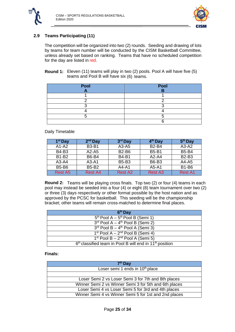



## <span id="page-25-0"></span>**2.9 Teams Participating (11)**

The competition will be organized into two (2) rounds. Seeding and drawing of lots by teams for team number will be conducted by the CISM Basketball Committee, unless already set based on ranking. Teams that have no scheduled competition for the day are listed in red.

**Round 1:** Eleven (11) teams will play in two (2) pools. Pool A will have five (5) teams and Pool B will have six (6) teams.

| Pool | Pool |
|------|------|
|      |      |
|      |      |
|      |      |
|      |      |
|      |      |
|      |      |

#### Daily Timetable

| 1 <sup>st</sup> Day | $2nd$ Day      | 3 <sup>rd</sup> Day | 4 <sup>th</sup> Day | 5 <sup>th</sup> Day |
|---------------------|----------------|---------------------|---------------------|---------------------|
| $A1-A2$             | <b>B3-B1</b>   | $A3 - A5$           | <b>B2-B4</b>        | $A3-A2$             |
| <b>B4-B3</b>        | A2-A5          | <b>B2-B6</b>        | <b>B5-B1</b>        | <b>B5-B4</b>        |
| <b>B1-B2</b>        | <b>B6-B4</b>   | <b>B4-B1</b>        | $A2-A4$             | <b>B2-B3</b>        |
| $A3-A4$             | $A3-A1$        | <b>B5-B3</b>        | <b>B6-B3</b>        | $A4 - A5$           |
| <b>B5-B6</b>        | <b>B5-B2</b>   | $A4 - A1$           | A5-A1               | <b>B1-B6</b>        |
| <b>Rest A5</b>      | <b>Rest A4</b> | <b>Rest A2</b>      | <b>Rest A3</b>      | <b>Rest A1</b>      |

**Round 2:** Teams will be playing cross finals. Top two (2) or four (4) teams in each pool may instead be seeded into a four (4) or eight (8) team tournament over two (2) or three (3) days respectively or other format possible by the host nation and as approved by the PCSC for basketball. This seeding will be the championship bracket; other teams will remain cross-matched to determine final places.

| 6 <sup>th</sup> Day                                                   |
|-----------------------------------------------------------------------|
| $5th$ Pool A – $5th$ Pool B (Semi 1)                                  |
| $3rd$ Pool A - 4 <sup>th</sup> Pool B (Semi 2)                        |
| $3rd$ Pool B – 4 <sup>th</sup> Pool A (Semi 3)                        |
| $1st$ Pool A – $2nd$ Pool B (Semi 4)                                  |
| $1st$ Pool B – $2nd$ Pool A (Semi 5)                                  |
| $6th$ classified team in Pool B will end in 11 <sup>th</sup> position |

| 7 <sup>th</sup> Day                                   |
|-------------------------------------------------------|
| Loser semi 1 ends in 10 <sup>th</sup> place           |
|                                                       |
| Loser Semi 2 vs Loser Semi 3 for 7th and 8th places   |
| Winner Semi 2 vs Winner Semi 3 for 5th and 6th places |
| Loser Semi 4 vs Loser Semi 5 for 3rd and 4th places   |
| Winner Semi 4 vs Winner Semi 5 for 1st and 2nd places |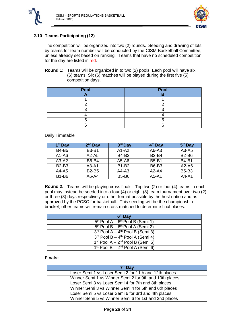



## <span id="page-26-0"></span>**2.10 Teams Participating (12)**

The competition will be organized into two (2) rounds. Seeding and drawing of lots by teams for team number will be conducted by the CISM Basketball Committee, unless already set based on ranking. Teams that have no scheduled competition for the day are listed in red.

**Round 1:** Teams will be organized in to two (2) pools. Each pool will have six (6) teams. Six (6) matches will be played during the first five (5) competition days.

| Pool | Pool |
|------|------|
|      |      |
|      |      |
|      |      |
|      |      |
|      |      |
|      |      |

#### Daily Timetable

| $1st$ Day    | $2nd$ Day    | 3 <sup>rd</sup> Day | 4 <sup>th</sup> Day | 5 <sup>th</sup> Day |
|--------------|--------------|---------------------|---------------------|---------------------|
| <b>B4-B5</b> | <b>B3-B1</b> | $A1-A2$             | $A6-A3$             | $A3-A5$             |
| $A1 - A6$    | A2-A5        | <b>B4-B3</b>        | <b>B2-B4</b>        | <b>B2-B6</b>        |
| $A3-A2$      | <b>B6-B4</b> | $A5-A6$             | <b>B5-B1</b>        | <b>B4-B1</b>        |
| <b>B2-B3</b> | $A3-A1$      | <b>B1-B2</b>        | <b>B6-B3</b>        | $A2-A6$             |
| A4-A5        | <b>B2-B5</b> | $A4-A3$             | $A2-A4$             | <b>B5-B3</b>        |
| <b>B1-B6</b> | A6-A4        | <b>B5-B6</b>        | A5-A1               | $A4-A1$             |

**Round 2:** Teams will be playing cross finals. Top two (2) or four (4) teams in each pool may instead be seeded into a four (4) or eight (8) team tournament over two (2) or three (3) days respectively or other format possible by the host nation and as approved by the PCSC for basketball. This seeding will be the championship bracket; other teams will remain cross-matched to determine final places.

| 6 <sup>th</sup> Day                            |
|------------------------------------------------|
| $5th$ Pool A – $6th$ Pool B (Semi 1)           |
| $5th$ Pool B – $6th$ Pool A (Semi 2)           |
| $3rd$ Pool A – 4 <sup>th</sup> Pool B (Semi 3) |
| $3rd$ Pool B – 4 <sup>th</sup> Pool A (Semi 4) |
| $1st$ Pool A – $2nd$ Pool B (Semi 5)           |
| $1st$ Pool B - $2nd$ Pool A (Semi 6)           |

| 7 <sup>th</sup> Dav                                    |
|--------------------------------------------------------|
| Loser Semi 1 vs Loser Semi 2 for 11th and 12th places  |
| Winner Semi 1 vs Winner Semi 2 for 9th and 10th places |
| Loser Semi 3 vs Loser Semi 4 for 7th and 8th places    |
| Winner Semi 3 vs Winner Semi 4 for 5th and 6th places  |
| Loser Semi 5 vs Loser Semi 6 for 3rd and 4th places    |
| Winner Semi 5 vs Winner Semi 6 for 1st and 2nd places  |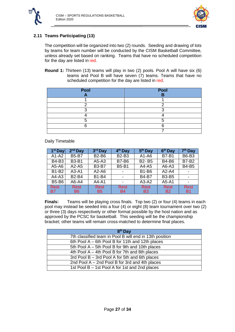



## <span id="page-27-0"></span>**2.11 Teams Participating (13)**

The competition will be organized into two (2) rounds. Seeding and drawing of lots by teams for team number will be conducted by the CISM Basketball Committee, unless already set based on ranking. Teams that have no scheduled competition for the day are listed in red.

**Round 1:** Thirteen (13) teams will play in two (2) pools. Pool A will have six (6) teams and Pool B will have seven (7) teams. Teams that have no scheduled competition for the day are listed in red.

| Pool | Pool |
|------|------|
|      |      |
|      |      |
|      |      |
|      |      |
|      |      |
|      |      |
|      |      |

#### Daily Timetable

| $1st$ Day    | $2nd$ Day      | 3rd Day      | 4 <sup>th</sup> Day      | 5 <sup>th</sup> Day | 6 <sup>th</sup> Day | 7 <sup>th</sup> Day |
|--------------|----------------|--------------|--------------------------|---------------------|---------------------|---------------------|
| $A1-A2$      | <b>B5-B7</b>   | <b>B2-B6</b> | <b>B2-B3</b>             | $A1 - A6$           | <b>B7-B1</b>        | <b>B6-B3</b>        |
| <b>B4-B3</b> | <b>B3-B1</b>   | A5-A3        | <b>B7-B6</b>             | <b>B2-B5</b>        | <b>B4-B6</b>        | <b>B7-B2</b>        |
| A5-A6        | $A2-A5$        | <b>B3-B7</b> | <b>B5-B1</b>             | $A4 - A5$           | A6-A3               | <b>B4-B5</b>        |
| <b>B1-B2</b> | $A3-A1$        | $A2-A6$      |                          | <b>B1-B6</b>        | $A2-A4$             |                     |
| $A4-A3$      | <b>B2-B4</b>   | <b>B1-B4</b> |                          | <b>B4-B7</b>        | <b>B3-B5</b>        |                     |
| <b>B5-B6</b> | A6-A4          | A4-A1        | $\overline{\phantom{0}}$ | $A3-A2$             | A5-A1               |                     |
| <b>Rest</b>  | Rest           | <b>Rest</b>  | <b>Rest</b>              | <b>Rest</b>         | <b>Rest</b>         | <b>Rest</b>         |
| <b>B7</b>    | B <sub>6</sub> | <b>B5</b>    | <b>B4</b>                | B <sub>3</sub>      | <b>B2</b>           | <b>B1</b>           |

**Finals:** Teams will be playing cross finals. Top two (2) or four (4) teams in each pool may instead be seeded into a four (4) or eight (8) team tournament over two (2) or three (3) days respectively or other format possible by the host nation and as approved by the PCSC for basketball. This seeding will be the championship bracket; other teams will remain cross-matched to determine final places.

| 8 <sup>th</sup> Day                                     |
|---------------------------------------------------------|
| 7th classified team in Pool B will end in 13th position |
| 6th Pool A – 6th Pool B for 11th and 12th places        |
| 5th Pool A - 5th Pool B for 9th and 10th places         |
| 4th Pool A - 4th Pool B for 7th and 8th places          |
| 3rd Pool B - 3rd Pool A for 5th and 6th places          |
| 2nd Pool $A - 2nd$ Pool B for 3rd and 4th places        |
| 1st Pool B - 1st Pool A for 1st and 2nd places          |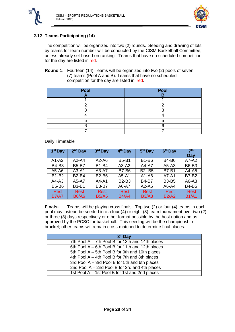



## <span id="page-28-0"></span>**2.12 Teams Participating (14)**

The competition will be organized into two (2) rounds. Seeding and drawing of lots by teams for team number will be conducted by the CISM Basketball Committee, unless already set based on ranking. Teams that have no scheduled competition for the day are listed in red.

#### **Round 1:** Fourteen (14) Teams will be organized into two (2) pools of seven (7) teams (Pool A and B). Teams that have no scheduled competition for the day are listed in red.

| Pool | Pool<br>n |
|------|-----------|
|      |           |
|      |           |
|      |           |
|      |           |
|      |           |
|      |           |
|      |           |

Daily Timetable

| 1 <sup>st</sup> Day | $2nd$ Day    | 3rd Day      | 4 <sup>th</sup> Day | 5 <sup>th</sup> Day | 6 <sup>th</sup> Day | 7 <sup>th</sup> |
|---------------------|--------------|--------------|---------------------|---------------------|---------------------|-----------------|
|                     |              |              |                     |                     |                     | Day             |
| $A1-A2$             | A2-A4        | $A2-A6$      | <b>B5-B1</b>        | <b>B1-B6</b>        | <b>B4-B6</b>        | A7-A2           |
| <b>B4-B3</b>        | <b>B5-B7</b> | <b>B1-B4</b> | $A3-A2$             | A4-A7               | $A5-A3$             | <b>B6-B3</b>    |
| $A5 - A6$           | A3-A1        | $A3-A7$      | <b>B7-B6</b>        | <b>B2-B5</b>        | <b>B7-B1</b>        | $A4 - A5$       |
| <b>B1-B2</b>        | <b>B2-B4</b> | <b>B2-B6</b> | $A5 - A1$           | $A1 - A6$           | A7-A1               | <b>B7-B2</b>    |
| $A4-A3$             | A5-A7        | $A4 - A1$    | <b>B2-B3</b>        | <b>B4-B7</b>        | <b>B3-B5</b>        | $A6 - A3$       |
| <b>B5-B6</b>        | <b>B3-B1</b> | <b>B3-B7</b> | A6-A7               | A2-A5               | A6-A4               | <b>B4-B5</b>    |
| <b>Rest</b>         | Rest         | <b>Rest</b>  | <b>Rest</b>         | <b>Rest</b>         | <b>Rest</b>         | <b>Rest</b>     |
| <b>B7/A7</b>        | <b>B6/A6</b> | <b>B5/A5</b> | <b>B4/A4</b>        | <b>B3/A3</b>        | <b>B2/A2</b>        | <b>B1/A1</b>    |

**Finals:** Teams will be playing cross finals. Top two (2) or four (4) teams in each pool may instead be seeded into a four (4) or eight (8) team tournament over two (2) or three (3) days respectively or other format possible by the host nation and as approved by the PCSC for basketball. This seeding will be the championship bracket; other teams will remain cross-matched to determine final places.

| 8 <sup>th</sup> Day                              |
|--------------------------------------------------|
| 7th Pool A - 7th Pool B for 13th and 14th places |
| 6th Pool A – 6th Pool B for 11th and 12th places |
| 5th Pool A - 5th Pool B for 9th and 10th places  |
| 4th Pool A – 4th Pool B for 7th and 8th places   |
| 3rd Pool A - 3rd Pool B for 5th and 6th places   |
| 2nd Pool A - 2nd Pool B for 3rd and 4th places   |
| 1st Pool A – 1st Pool B for 1st and 2nd places   |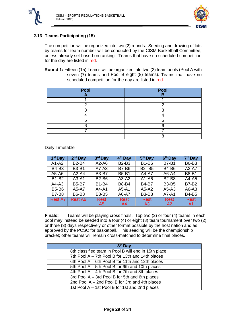



## <span id="page-29-0"></span>**2.13 Teams Participating (15)**

The competition will be organized into two (2) rounds. Seeding and drawing of lots by teams for team number will be conducted by the CISM Basketball Committee, unless already set based on ranking. Teams that have no scheduled competition for the day are listed in red.

**Round 1:** Fifteen (15) Teams will be organized into two (2) team pools (Pool A with seven (7) teams and Pool B eight (8) teams). Teams that have no scheduled competition for the day are listed in red.

| Pool | Pool<br>ь |
|------|-----------|
|      |           |
| ┍    |           |
|      |           |
|      |           |
|      |           |
|      |           |
|      |           |
|      |           |

#### Daily Timetable

| 1 <sup>st</sup> Day | $2nd$ Day      | 3rd Day        | 4 <sup>th</sup> Day | 5 <sup>th</sup> Day | 6 <sup>th</sup> Day | 7 <sup>th</sup> Day |
|---------------------|----------------|----------------|---------------------|---------------------|---------------------|---------------------|
| $A1-A2$             | <b>B2-B4</b>   | $A2-A6$        | <b>B2-B3</b>        | <b>B1-B6</b>        | <b>B7-B1</b>        | <b>B6-B3</b>        |
| <b>B4-B3</b>        | <b>B3-B1</b>   | $A7-A3$        | <b>B7-B6</b>        | <b>B2-B5</b>        | <b>B4-B6</b>        | $A2-A7$             |
| A5-A6               | $A2-A4$        | <b>B3-B7</b>   | <b>B5-B1</b>        | A4-A7               | A6-A4               | <b>B8-B1</b>        |
| $B1-B2$             | $A3-A1$        | <b>B2-B6</b>   | $A3-A2$             | $A1 - A6$           | <b>B2-B8</b>        | $A4 - A5$           |
| $A4-A3$             | <b>B5-B7</b>   | <b>B1-B4</b>   | <b>B8-B4</b>        | <b>B4-B7</b>        | <b>B3-B5</b>        | <b>B7-B2</b>        |
| <b>B5-B6</b>        | A5-A7          | $A4 - A1$      | $A5 - A1$           | $A5-A2$             | $A5-A3$             | $A6-A3$             |
| <b>B7-B8</b>        | <b>B6-B8</b>   | <b>B8-B5</b>   | $\overline{A6-A7}$  | <b>B3-B8</b>        | $\overline{A7}$ -A1 | <b>B4-B5</b>        |
| <b>Rest A7</b>      | <b>Rest A6</b> | <b>Rest</b>    | <b>Rest</b>         | <b>Rest</b>         | <b>Rest</b>         | <b>Rest</b>         |
|                     |                | A <sub>5</sub> | A4                  | A3                  | A2                  | A1                  |

**Finals:** Teams will be playing cross finals. Top two (2) or four (4) teams in each pool may instead be seeded into a four (4) or eight (8) team tournament over two (2) or three (3) days respectively or other format possible by the host nation and as approved by the PCSC for basketball. This seeding will be the championship bracket; other teams will remain cross-matched to determine final places.

| $8th$ Day                                            |
|------------------------------------------------------|
| 8th classified team in Pool B will end in 15th place |
| 7th Pool A - 7th Pool B for 13th and 14th places     |
| 6th Pool A – 6th Pool B for 11th and 12th places     |
| 5th Pool A - 5th Pool B for 9th and 10th places      |
| 4th Pool $A - 4$ th Pool B for 7th and 8th places    |
| 3rd Pool A - 3rd Pool B for 5th and 6th places       |
| 2nd Pool A - 2nd Pool B for 3rd and 4th places       |
| 1st Pool A - 1st Pool B for 1st and 2nd places       |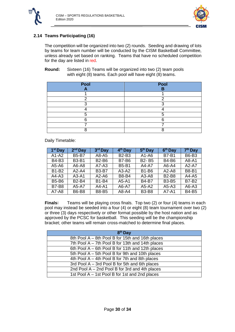



## <span id="page-30-0"></span>**2.14 Teams Participating (16)**

The competition will be organized into two (2) rounds. Seeding and drawing of lots by teams for team number will be conducted by the CISM Basketball Committee, unless already set based on ranking. Teams that have no scheduled competition for the day are listed in red.

**Round:** Sixteen (16) Teams will be organized into two (2) team pools with eight (8) teams. Each pool will have eight (8) teams.

| Pool | Pool<br>в |
|------|-----------|
|      |           |
| г    |           |
|      |           |
|      |           |
|      |           |
|      |           |
|      |           |
|      |           |

Daily Timetable:

| 1 <sup>st</sup> Day | $2nd$ Day    | 3rd Day      | 4 <sup>th</sup> Day | 5 <sup>th</sup> Day | 6 <sup>th</sup> Day | 7 <sup>th</sup> Day |
|---------------------|--------------|--------------|---------------------|---------------------|---------------------|---------------------|
| $A1-A2$             | <b>B5-B7</b> | A8-A5        | <b>B2-B3</b>        | $A1 - A6$           | <b>B7-B1</b>        | <b>B6-B3</b>        |
| <b>B4-B3</b>        | <b>B3-B1</b> | <b>B2-B6</b> | <b>B7-B6</b>        | <b>B2-B5</b>        | <b>B4-B6</b>        | A8-A1               |
| $A5-A6$             | A6-A8        | $A7-A3$      | <b>B5-B1</b>        | A4-A7               | A6-A4               | $A2-A7$             |
| <b>B1-B2</b>        | $A2-A4$      | <b>B3-B7</b> | $A3-A2$             | <b>B1-B6</b>        | $A2-A8$             | <b>B8-B1</b>        |
| $A4-A3$             | $A3-A1$      | $A2-A6$      | <b>B8-B4</b>        | A3-A8               | <b>B2-B8</b>        | $A4 - A5$           |
| <b>B5-B6</b>        | <b>B2-B4</b> | <b>B1-B4</b> | $A5 - A1$           | <b>B4-B7</b>        | <b>B3-B5</b>        | <b>B7-B2</b>        |
| <b>B7-B8</b>        | A5-A7        | $A4 - A1$    | A6-A7               | $A5-A2$             | $A5-A3$             | A6-A3               |
| $A7-A8$             | <b>B6-B8</b> | <b>B8-B5</b> | $A8 - A4$           | <b>B3-B8</b>        | A7-A1               | <b>B4-B5</b>        |

**Finals:** Teams will be playing cross finals. Top two (2) or four (4) teams in each pool may instead be seeded into a four (4) or eight (8) team tournament over two (2) or three (3) days respectively or other format possible by the host nation and as approved by the PCSC for basketball. This seeding will be the championship bracket; other teams will remain cross-matched to determine final places.

| 8 <sup>th</sup> Day                              |
|--------------------------------------------------|
| 8th Pool A - 8th Pool B for 15th and 16th places |
| 7th Pool A - 7th Pool B for 13th and 14th places |
| 6th Pool A – 6th Pool B for 11th and 12th places |
| 5th Pool A - 5th Pool B for 9th and 10th places  |
| 4th Pool A - 4th Pool B for 7th and 8th places   |
| 3rd Pool A - 3rd Pool B for 5th and 6th places   |
| 2nd Pool A - 2nd Pool B for 3rd and 4th places   |
| 1st Pool A - 1st Pool B for 1st and 2nd places   |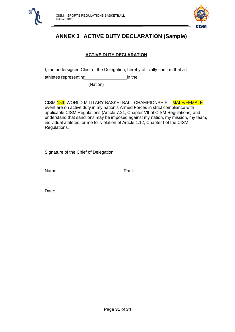<span id="page-31-0"></span>



# **ANNEX 3 ACTIVE DUTY DECLARATION (Sample)**

## **ACTIVE DUTY DECLARATION**

I, the undersigned Chief of the Delegation, hereby officially confirm that all

athletes representing\_\_\_\_\_\_\_\_\_\_\_\_\_\_\_\_\_\_\_\_\_\_\_\_\_ in the

(Nation)

CISM 15th WORLD MILITARY BASKETBALL CHAMPIONSHIP – MALE/FEMALE event are on active duty in my nation's Armed Forces in strict compliance with applicable CISM Regulations (Article 7.21, Chapter VII of CISM Regulations) and understand that sanctions may be imposed against my nation, my mission, my team, individual athletes, or me for violation of Article 1.12, Chapter I of the CISM Regulations.

Signature of the Chief of Delegation

Name: Rank:

Date: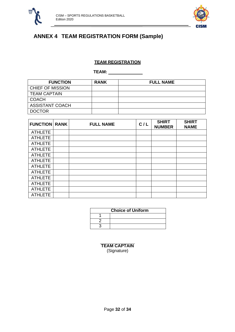



# <span id="page-32-0"></span>**ANNEX 4 TEAM REGISTRATION FORM (Sample)**

## **TEAM REGISTRATION**

**TEAM:** 

| <b>FUNCTION</b>         | <b>RANK</b> | <b>FULL NAME</b> |
|-------------------------|-------------|------------------|
| <b>CHIEF OF MISSION</b> |             |                  |
| <b>TEAM CAPTAIN</b>     |             |                  |
| <b>COACH</b>            |             |                  |
| <b>ASSISTANT COACH</b>  |             |                  |
| <b>DOCTOR</b>           |             |                  |

| <b>FUNCTION RANK</b> | <b>FULL NAME</b> | C/L | <b>SHIRT</b><br><b>NUMBER</b> | <b>SHIRT</b><br><b>NAME</b> |
|----------------------|------------------|-----|-------------------------------|-----------------------------|
| <b>ATHLETE</b>       |                  |     |                               |                             |
| <b>ATHLETE</b>       |                  |     |                               |                             |
| <b>ATHLETE</b>       |                  |     |                               |                             |
| <b>ATHLETE</b>       |                  |     |                               |                             |
| <b>ATHLETE</b>       |                  |     |                               |                             |
| <b>ATHLETE</b>       |                  |     |                               |                             |
| <b>ATHLETE</b>       |                  |     |                               |                             |
| <b>ATHLETE</b>       |                  |     |                               |                             |
| <b>ATHLETE</b>       |                  |     |                               |                             |
| <b>ATHLETE</b>       |                  |     |                               |                             |
| <b>ATHLETE</b>       |                  |     |                               |                             |
| <b>ATHLETE</b>       |                  |     |                               |                             |

| <b>Choice of Uniform</b> |  |  |
|--------------------------|--|--|
|                          |  |  |
|                          |  |  |
|                          |  |  |

**TEAM CAPTAIN** (Signature)